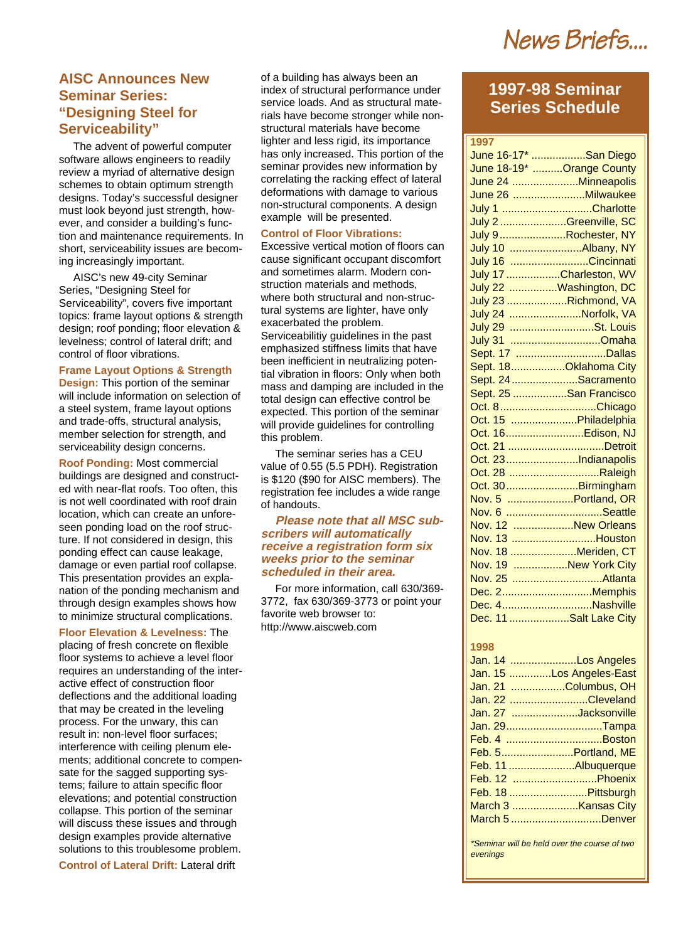News Briefs....

## **AISC Announces New Seminar Series: "Designing Steel for Serviceability"**

The advent of powerful computer software allows engineers to readily review a myriad of alternative design schemes to obtain optimum strength designs. Today's successful designer must look beyond just strength, however, and consider a building's function and maintenance requirements. In short, serviceability issues are becoming increasingly important.

AISC's new 49-city Seminar Series, "Designing Steel for Serviceability", covers five important topics: frame layout options & strength design; roof ponding; floor elevation & levelness; control of lateral drift; and control of floor vibrations.

#### **Frame Layout Options & Strength**

**Design:** This portion of the seminar will include information on selection of a steel system, frame layout options and trade-offs, structural analysis, member selection for strength, and serviceability design concerns.

**Roof Ponding:** Most commercial buildings are designed and constructed with near-flat roofs. Too often, this is not well coordinated with roof drain location, which can create an unforeseen ponding load on the roof structure. If not considered in design, this ponding effect can cause leakage, damage or even partial roof collapse. This presentation provides an explanation of the ponding mechanism and through design examples shows how to minimize structural complications.

**Floor Elevation & Levelness:** The placing of fresh concrete on flexible floor systems to achieve a level floor requires an understanding of the interactive effect of construction floor deflections and the additional loading that may be created in the leveling process. For the unwary, this can result in: non-level floor surfaces; interference with ceiling plenum elements; additional concrete to compensate for the sagged supporting systems; failure to attain specific floor elevations; and potential construction collapse. This portion of the seminar will discuss these issues and through design examples provide alternative solutions to this troublesome problem.

**Control of Lateral Drift:** Lateral drift

of a building has always been an index of structural performance under service loads. And as structural materials have become stronger while nonstructural materials have become lighter and less rigid, its importance has only increased. This portion of the seminar provides new information by correlating the racking effect of lateral deformations with damage to various non-structural components. A design example will be presented.

#### **Control of Floor Vibrations:**

Excessive vertical motion of floors can cause significant occupant discomfort and sometimes alarm. Modern construction materials and methods, where both structural and non-structural systems are lighter, have only exacerbated the problem. Serviceabilitiy guidelines in the past emphasized stiffness limits that have been inefficient in neutralizing potential vibration in floors: Only when both mass and damping are included in the total design can effective control be expected. This portion of the seminar will provide guidelines for controlling this problem.

The seminar series has a CEU value of 0.55 (5.5 PDH). Registration is \$120 (\$90 for AISC members). The registration fee includes a wide range of handouts.

#### **Please note that all MSC subscribers will automatically receive a registration form six weeks prior to the seminar scheduled in their area.**

For more information, call 630/369- 3772, fax 630/369-3773 or point your favorite web browser to: http://www.aiscweb.com

# **1997-98 Seminar Series Schedule**

| 1997                                     |  |
|------------------------------------------|--|
| June 16-17* San Diego                    |  |
| June 18-19* Orange County                |  |
| June 24 Minneapolis                      |  |
| June 26  Milwaukee                       |  |
| July 1 Charlotte                         |  |
| July 2 Greenville, SC                    |  |
| July 9Rochester, NY                      |  |
| July 10 Albany, NY                       |  |
| July 16 Cincinnati                       |  |
| July 17 Charleston, WV                   |  |
| July 22 Washington, DC                   |  |
| July 23 Richmond, VA                     |  |
| July 24 Norfolk, VA                      |  |
| July 29 St. Louis                        |  |
| July 31 Omaha                            |  |
| Sept. 17 Dallas                          |  |
| Sept. 18Oklahoma City                    |  |
| Sept. 24 Sacramento                      |  |
| Sept. 25 San Francisco                   |  |
| Oct. 8Chicago                            |  |
| Oct. 15 Philadelphia                     |  |
| Oct. 16Edison, NJ                        |  |
| Oct. 21 Detroit                          |  |
| Oct. 23Indianapolis                      |  |
| Oct. 28 Raleigh                          |  |
| Oct. 30Birmingham                        |  |
| Nov. 5 Portland, OR                      |  |
| Nov. 6 Seattle                           |  |
| Nov. 12 New Orleans                      |  |
| Nov. 13 Houston                          |  |
| Nov. 18 Meriden, CT                      |  |
| Nov. 19 New York City                    |  |
| Nov. 25 Atlanta                          |  |
| Dec. 2Memphis                            |  |
| Dec. 4Nashville                          |  |
| Dec. 11 Salt Lake City                   |  |
|                                          |  |
| 1998                                     |  |
| $\ln 14$ $\ln 2$ $\ln 1$ $\ln 2$ $\ln 1$ |  |

| Jan. 14 Los Angeles      |
|--------------------------|
| Jan. 15 Los Angeles-East |
| Jan. 21 Columbus, OH     |
| Jan. 22 Cleveland        |
| Jan. 27 Jacksonville     |
| Jan. 29Tampa             |
|                          |
| Feb. 5Portland, ME       |
| Feb. 11 Albuquerque      |
| Feb. 12 Phoenix          |
| Feb. 18 Pittsburgh       |
|                          |
| March 5 Denver           |
|                          |

\*Seminar will be held over the course of two evenings